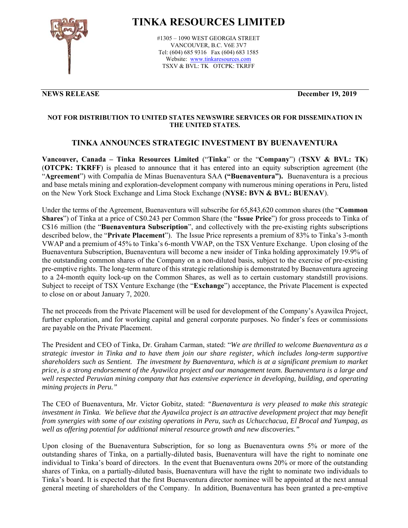

# **TINKA RESOURCES LIMITED**

#1305 – 1090 WEST GEORGIA STREET VANCOUVER, B.C. V6E 3V7 Tel: (604) 685 9316 Fax (604) 683 1585 Website: www.tinkaresources.com TSXV & BVL: TK OTCPK: TKRFF

### **NEWS RELEASE December 19, 2019**

#### **NOT FOR DISTRIBUTION TO UNITED STATES NEWSWIRE SERVICES OR FOR DISSEMINATION IN THE UNITED STATES.**

## **TINKA ANNOUNCES STRATEGIC INVESTMENT BY BUENAVENTURA**

**Vancouver, Canada – Tinka Resources Limited** ("**Tinka**" or the "**Company**") (**TSXV & BVL: TK**) (**OTCPK: TKRFF**) is pleased to announce that it has entered into an equity subscription agreement (the "**Agreement**") with Compañia de Minas Buenaventura SAA **("Buenaventura").** Buenaventura is a precious and base metals mining and exploration-development company with numerous mining operations in Peru, listed on the New York Stock Exchange and Lima Stock Exchange (**NYSE: BVN & BVL: BUENAV**).

Under the terms of the Agreement, Buenaventura will subscribe for 65,843,620 common shares (the "**Common Shares**") of Tinka at a price of C\$0.243 per Common Share (the "**Issue Price**") for gross proceeds to Tinka of C\$16 million (the "**Buenaventura Subscription**", and collectively with the pre-existing rights subscriptions described below, the "**Private Placement**"). The Issue Price represents a premium of 83% to Tinka's 3-month VWAP and a premium of 45% to Tinka's 6-month VWAP, on the TSX Venture Exchange. Upon closing of the Buenaventura Subscription, Buenaventura will become a new insider of Tinka holding approximately 19.9% of the outstanding common shares of the Company on a non-diluted basis, subject to the exercise of pre-existing pre-emptive rights. The long-term nature of this strategic relationship is demonstrated by Buenaventura agreeing to a 24-month equity lock-up on the Common Shares, as well as to certain customary standstill provisions. Subject to receipt of TSX Venture Exchange (the "**Exchange**") acceptance, the Private Placement is expected to close on or about January 7, 2020.

The net proceeds from the Private Placement will be used for development of the Company's Ayawilca Project, further exploration, and for working capital and general corporate purposes. No finder's fees or commissions are payable on the Private Placement.

The President and CEO of Tinka, Dr. Graham Carman, stated: "*We are thrilled to welcome Buenaventura as a strategic investor in Tinka and to have them join our share register, which includes long-term supportive shareholders such as Sentient. The investment by Buenaventura, which is at a significant premium to market price, is a strong endorsement of the Ayawilca project and our management team. Buenaventura is a large and well respected Peruvian mining company that has extensive experience in developing, building, and operating mining projects in Peru."*

The CEO of Buenaventura, Mr. Victor Gobitz, stated: *"Buenaventura is very pleased to make this strategic investment in Tinka. We believe that the Ayawilca project is an attractive development project that may benefit from synergies with some of our existing operations in Peru, such as Uchucchacua, El Brocal and Yumpag, as well as offering potential for additional mineral resource growth and new discoveries."* 

Upon closing of the Buenaventura Subscription, for so long as Buenaventura owns 5% or more of the outstanding shares of Tinka, on a partially-diluted basis, Buenaventura will have the right to nominate one individual to Tinka's board of directors. In the event that Buenaventura owns 20% or more of the outstanding shares of Tinka, on a partially-diluted basis, Buenaventura will have the right to nominate two individuals to Tinka's board. It is expected that the first Buenaventura director nominee will be appointed at the next annual general meeting of shareholders of the Company. In addition, Buenaventura has been granted a pre-emptive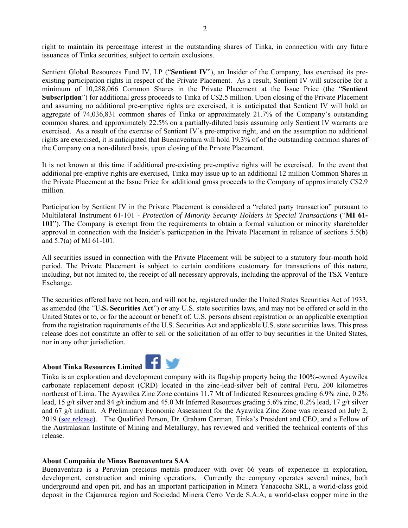right to maintain its percentage interest in the outstanding shares of Tinka, in connection with any future issuances of Tinka securities, subject to certain exclusions.

Sentient Global Resources Fund IV, LP ("**Sentient IV**"), an Insider of the Company, has exercised its preexisting participation rights in respect of the Private Placement. As a result, Sentient IV will subscribe for a minimum of 10,288,066 Common Shares in the Private Placement at the Issue Price (the "**Sentient Subscription**") for additional gross proceeds to Tinka of C\$2.5 million. Upon closing of the Private Placement and assuming no additional pre-emptive rights are exercised, it is anticipated that Sentient IV will hold an aggregate of 74,036,831 common shares of Tinka or approximately 21.7% of the Company's outstanding common shares, and approximately 22.5% on a partially-diluted basis assuming only Sentient IV warrants are exercised. As a result of the exercise of Sentient IV's pre-emptive right, and on the assumption no additional rights are exercised, it is anticipated that Buenaventura will hold 19.3% of of the outstanding common shares of the Company on a non-diluted basis, upon closing of the Private Placement.

It is not known at this time if additional pre-existing pre-emptive rights will be exercised. In the event that additional pre-emptive rights are exercised, Tinka may issue up to an additional 12 million Common Shares in the Private Placement at the Issue Price for additional gross proceeds to the Company of approximately C\$2.9 million.

Participation by Sentient IV in the Private Placement is considered a "related party transaction" pursuant to Multilateral Instrument 61-101 - *Protection of Minority Security Holders in Special Transactions* ("**MI 61- 101**"). The Company is exempt from the requirements to obtain a formal valuation or minority shareholder approval in connection with the Insider's participation in the Private Placement in reliance of sections 5.5(b) and 5.7(a) of MI 61-101.

All securities issued in connection with the Private Placement will be subject to a statutory four-month hold period. The Private Placement is subject to certain conditions customary for transactions of this nature, including, but not limited to, the receipt of all necessary approvals, including the approval of the TSX Venture Exchange.

The securities offered have not been, and will not be, registered under the United States Securities Act of 1933, as amended (the "**U.S. Securities Act**") or any U.S. state securities laws, and may not be offered or sold in the United States or to, or for the account or benefit of, U.S. persons absent registration or an applicable exemption from the registration requirements of the U.S. Securities Act and applicable U.S. state securities laws. This press release does not constitute an offer to sell or the solicitation of an offer to buy securities in the United States, nor in any other jurisdiction.

# **About Tinka Resources Limited**



Tinka is an exploration and development company with its flagship property being the 100%-owned Ayawilca carbonate replacement deposit (CRD) located in the zinc-lead-silver belt of central Peru, 200 kilometres northeast of Lima. The Ayawilca Zinc Zone contains 11.7 Mt of Indicated Resources grading 6.9% zinc, 0.2% lead, 15 g/t silver and 84 g/t indium and 45.0 Mt Inferred Resources grading 5.6% zinc, 0.2% lead, 17 g/t silver and 67 g/t indium. A Preliminary Economic Assessment for the Ayawilca Zinc Zone was released on July 2, 2019 (see release). The Qualified Person, Dr. Graham Carman, Tinka's President and CEO, and a Fellow of the Australasian Institute of Mining and Metallurgy, has reviewed and verified the technical contents of this release.

#### **About Compañia de Minas Buenaventura SAA**

Buenaventura is a Peruvian precious metals producer with over 66 years of experience in exploration, development, construction and mining operations. Currently the company operates several mines, both underground and open pit, and has an important participation in Minera Yanacocha SRL, a world-class gold deposit in the Cajamarca region and Sociedad Minera Cerro Verde S.A.A, a world-class copper mine in the